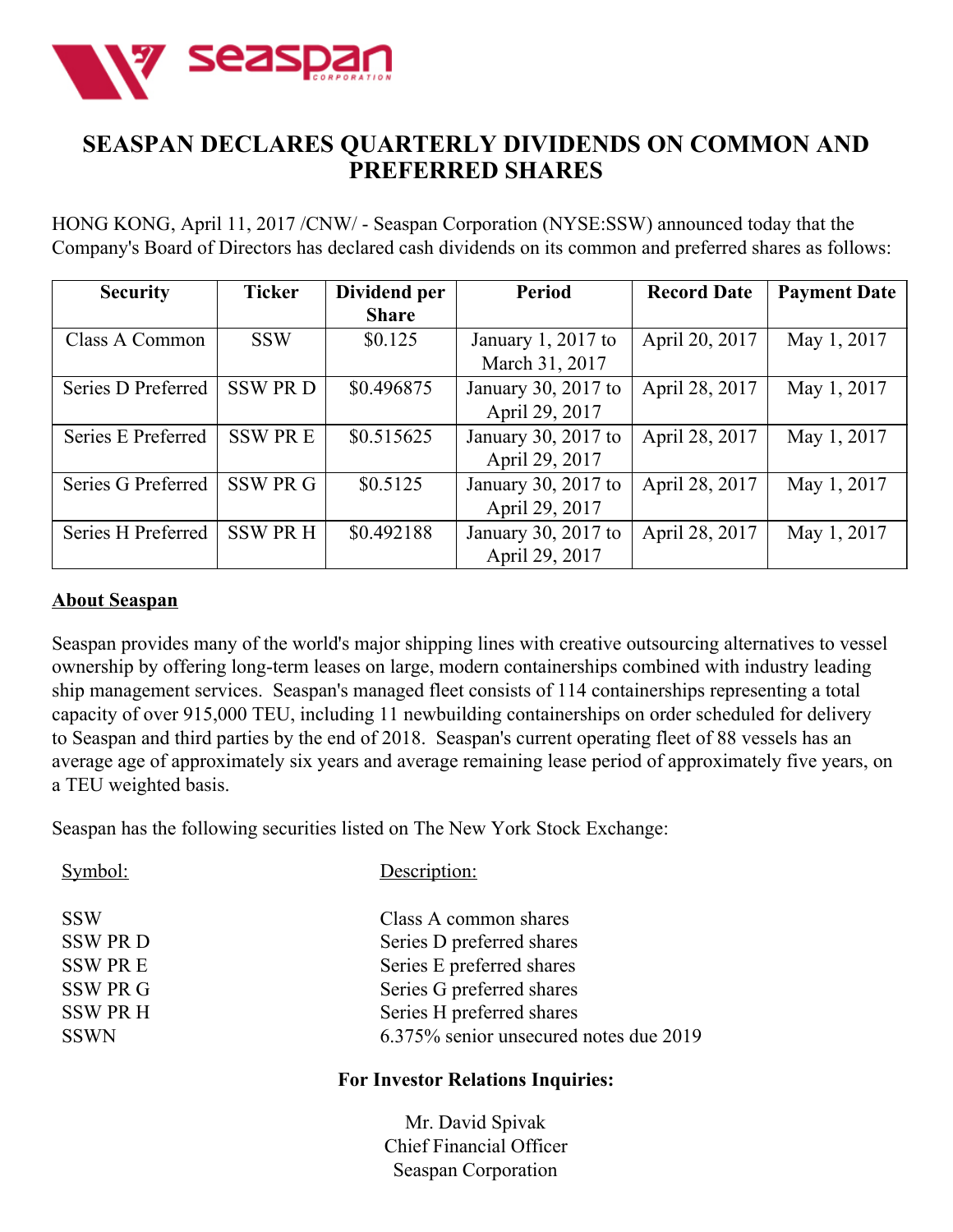

## **SEASPAN DECLARES QUARTERLY DIVIDENDS ON COMMON AND PREFERRED SHARES**

HONG KONG, April 11, 2017 /CNW/ - Seaspan Corporation (NYSE:SSW) announced today that the Company's Board of Directors has declared cash dividends on its common and preferred shares as follows:

| <b>Security</b>    | <b>Ticker</b> | Dividend per | <b>Period</b>       | <b>Record Date</b> | <b>Payment Date</b> |
|--------------------|---------------|--------------|---------------------|--------------------|---------------------|
|                    |               | <b>Share</b> |                     |                    |                     |
| Class A Common     | <b>SSW</b>    | \$0.125      | January 1, 2017 to  | April 20, 2017     | May 1, 2017         |
|                    |               |              | March 31, 2017      |                    |                     |
| Series D Preferred | <b>SSWPRD</b> | \$0.496875   | January 30, 2017 to | April 28, 2017     | May 1, 2017         |
|                    |               |              | April 29, 2017      |                    |                     |
| Series E Preferred | <b>SSWPRE</b> | \$0.515625   | January 30, 2017 to | April 28, 2017     | May 1, 2017         |
|                    |               |              | April 29, 2017      |                    |                     |
| Series G Preferred | SSW PR G      | \$0.5125     | January 30, 2017 to | April 28, 2017     | May 1, 2017         |
|                    |               |              | April 29, 2017      |                    |                     |
| Series H Preferred | <b>SSWPRH</b> | \$0.492188   | January 30, 2017 to | April 28, 2017     | May 1, 2017         |
|                    |               |              | April 29, 2017      |                    |                     |

## **About Seaspan**

Seaspan provides many of the world's major shipping lines with creative outsourcing alternatives to vessel ownership by offering long-term leases on large, modern containerships combined with industry leading ship management services. Seaspan's managed fleet consists of 114 containerships representing a total capacity of over 915,000 TEU, including 11 newbuilding containerships on order scheduled for delivery to Seaspan and third parties by the end of 2018. Seaspan's current operating fleet of 88 vessels has an average age of approximately six years and average remaining lease period of approximately five years, on a TEU weighted basis.

Seaspan has the following securities listed on The New York Stock Exchange:

| Symbol:         | Description:                           |
|-----------------|----------------------------------------|
| <b>SSW</b>      | Class A common shares                  |
| <b>SSW PRD</b>  | Series D preferred shares              |
| <b>SSW PRE</b>  | Series E preferred shares              |
| <b>SSW PR G</b> | Series G preferred shares              |
| <b>SSW PR H</b> | Series H preferred shares              |
| <b>SSWN</b>     | 6.375% senior unsecured notes due 2019 |

## **For Investor Relations Inquiries:**

Mr. David Spivak Chief Financial Officer Seaspan Corporation